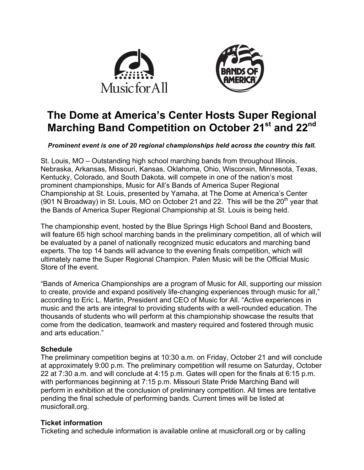



# **The Dome at America's Center Hosts Super Regional Marching Band Competition on October 21st and 22nd**

*Prominent event is one of 20 regional championships held across the country this fall.*

St. Louis, MO – Outstanding high school marching bands from throughout Illinois, Nebraska, Arkansas, Missouri, Kansas, Oklahoma, Ohio, Wisconsin, Minnesota, Texas, Kentucky, Colorado, and South Dakota, will compete in one of the nation's most prominent championships, Music for All's Bands of America Super Regional Championship at St. Louis, presented by Yamaha, at The Dome at America's Center (901 N Broadway) in St. Louis, MO on October 21 and 22. This will be the  $20<sup>th</sup>$  year that the Bands of America Super Regional Championship at St. Louis is being held.

The championship event, hosted by the Blue Springs High School Band and Boosters, will feature 65 high school marching bands in the preliminary competition, all of which will be evaluated by a panel of nationally recognized music educators and marching band experts. The top 14 bands will advance to the evening finals competition, which will ultimately name the Super Regional Champion. Palen Music will be the Official Music Store of the event.

"Bands of America Championships are a program of Music for All, supporting our mission to create, provide and expand positively life-changing experiences through music for all," according to Eric L. Martin, President and CEO of Music for All. "Active experiences in music and the arts are integral to providing students with a well-rounded education. The thousands of students who will perform at this championship showcase the results that come from the dedication, teamwork and mastery required and fostered through music and arts education."

## **Schedule**

The preliminary competition begins at 10:30 a.m. on Friday, October 21 and will conclude at approximately 9:00 p.m. The preliminary competition will resume on Saturday, October 22 at 7:30 a.m. and will conclude at 4:15 p.m. Gates will open for the finals at 6:15 p.m. with performances beginning at 7:15 p.m. Missouri State Pride Marching Band will perform in exhibition at the conclusion of preliminary competition. All times are tentative pending the final schedule of performing bands. Current times will be listed at musicforall.org.

## **Ticket information**

Ticketing and schedule information is available online at musicforall.org or by calling